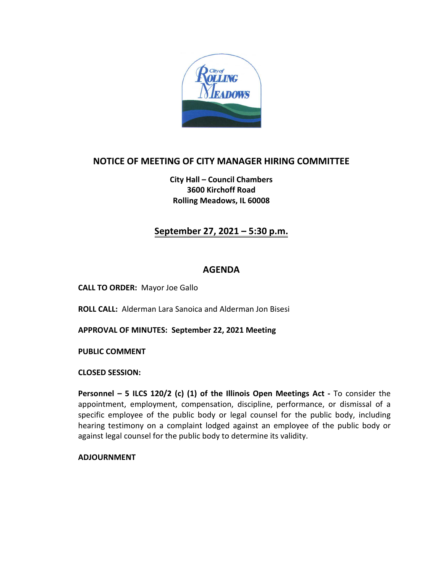

## **NOTICE OF MEETING OF CITY MANAGER HIRING COMMITTEE**

**City Hall – Council Chambers 3600 Kirchoff Road Rolling Meadows, IL 60008** 

### **September 27, 2021 – 5:30 p.m.**

#### **AGENDA**

**CALL TO ORDER:** Mayor Joe Gallo

**ROLL CALL:** Alderman Lara Sanoica and Alderman Jon Bisesi

**APPROVAL OF MINUTES: September 22, 2021 Meeting**

**PUBLIC COMMENT** 

**CLOSED SESSION:**

**Personnel – 5 ILCS 120/2 (c) (1) of the Illinois Open Meetings Act -** To consider the appointment, employment, compensation, discipline, performance, or dismissal of a specific employee of the public body or legal counsel for the public body, including hearing testimony on a complaint lodged against an employee of the public body or against legal counsel for the public body to determine its validity.

**ADJOURNMENT**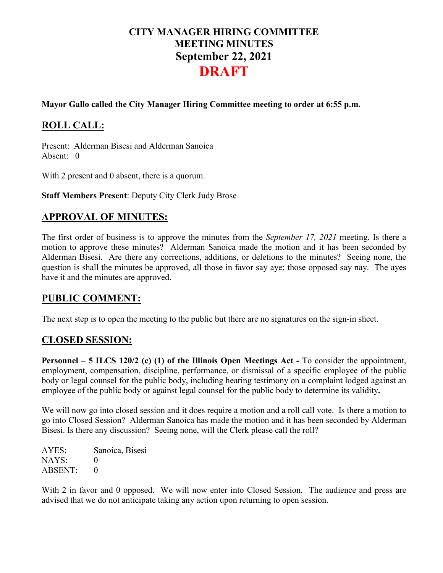# **CITY MANAGER HIRING COMMITTEE MEETING MINUTES September 22, 2021 DRAFT**

#### **Mayor Gallo called the City Manager Hiring Committee meeting to order at 6:55 p.m.**

# **ROLL CALL:**

Present: Alderman Bisesi and Alderman Sanoica Absent: 0

With 2 present and 0 absent, there is a quorum.

**Staff Members Present**: Deputy City Clerk Judy Brose

### **APPROVAL OF MINUTES:**

The first order of business is to approve the minutes from the *September 17, 2021* meeting. Is there a motion to approve these minutes? Alderman Sanoica made the motion and it has been seconded by Alderman Bisesi. Are there any corrections, additions, or deletions to the minutes? Seeing none, the question is shall the minutes be approved, all those in favor say aye; those opposed say nay. The ayes have it and the minutes are approved.

#### **PUBLIC COMMENT:**

The next step is to open the meeting to the public but there are no signatures on the sign-in sheet.

## **CLOSED SESSION:**

**Personnel – 5 ILCS 120/2 (c) (1) of the Illinois Open Meetings Act -** To consider the appointment, employment, compensation, discipline, performance, or dismissal of a specific employee of the public body or legal counsel for the public body, including hearing testimony on a complaint lodged against an employee of the public body or against legal counsel for the public body to determine its validity**.**

We will now go into closed session and it does require a motion and a roll call vote. Is there a motion to go into Closed Session? Alderman Sanoica has made the motion and it has been seconded by Alderman Bisesi. Is there any discussion? Seeing none, will the Clerk please call the roll?

AYES: Sanoica, Bisesi NAYS: 0 ABSENT: 0

With 2 in favor and 0 opposed. We will now enter into Closed Session. The audience and press are advised that we do not anticipate taking any action upon returning to open session.